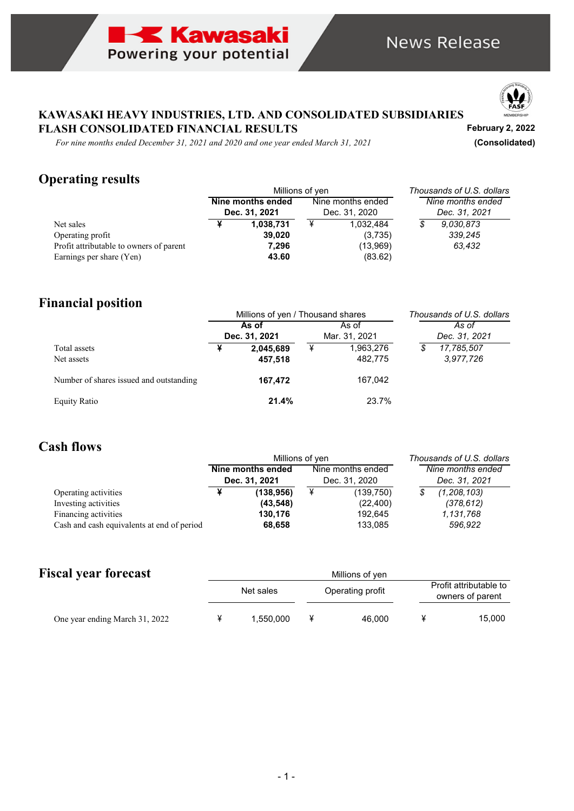



**February 2, 2022**

### **KAWASAKI HEAVY INDUSTRIES, LTD. AND CONSOLIDATED SUBSIDIARIES FLASH CONSOLIDATED FINANCIAL RESULTS**

*For nine months ended December 31, 2021 and 2020 and one year ended March 31, 2021* **(Consolidated)**

# **Operating results**

|                                         |                                    | Millions of yen | Thousands of U.S. dollars          |           |                                    |
|-----------------------------------------|------------------------------------|-----------------|------------------------------------|-----------|------------------------------------|
|                                         | Nine months ended<br>Dec. 31, 2021 |                 | Nine months ended<br>Dec. 31, 2020 |           | Nine months ended<br>Dec. 31, 2021 |
| Net sales                               |                                    | 1,038,731       | ¥                                  | 1.032.484 | \$<br>9.030.873                    |
| Operating profit                        |                                    | 39,020          |                                    | (3,735)   | 339,245                            |
| Profit attributable to owners of parent |                                    | 7,296           |                                    | (13,969)  | 63,432                             |
| Earnings per share (Yen)                |                                    | 43.60           |                                    | (83.62)   |                                    |

# **Financial position**

|                                         |       | Millions of yen / Thousand shares | Thousands of U.S. dollars |               |    |               |  |  |
|-----------------------------------------|-------|-----------------------------------|---------------------------|---------------|----|---------------|--|--|
|                                         | As of |                                   |                           | As of         |    | As of         |  |  |
|                                         |       | Dec. 31, 2021                     |                           | Mar. 31, 2021 |    | Dec. 31, 2021 |  |  |
| Total assets                            |       | 2,045,689                         | ¥                         | 1,963,276     | \$ | 17,785,507    |  |  |
| Net assets                              |       | 457,518                           |                           | 482,775       |    | 3.977,726     |  |  |
| Number of shares issued and outstanding |       | 167,472                           |                           | 167.042       |    |               |  |  |
| <b>Equity Ratio</b>                     |       | 21.4%                             |                           | 23.7%         |    |               |  |  |

## **Cash flows**

|                                              |                                    | Millions of yen         | Thousands of U.S. dollars          |                        |                                    |                             |  |
|----------------------------------------------|------------------------------------|-------------------------|------------------------------------|------------------------|------------------------------------|-----------------------------|--|
|                                              | Nine months ended<br>Dec. 31, 2021 |                         | Nine months ended<br>Dec. 31, 2020 |                        | Nine months ended<br>Dec. 31, 2021 |                             |  |
| Operating activities<br>Investing activities |                                    | (138, 956)<br>(43, 548) | ¥                                  | (139,750)<br>(22, 400) | \$                                 | (1, 208, 103)<br>(378, 612) |  |
| Financing activities                         |                                    | 130.176                 |                                    | 192.645                |                                    | 1,131,768<br>596,922        |  |
| Cash and cash equivalents at end of period   |                                    | 68,658                  |                                    | 133,085                |                                    |                             |  |

# **Fiscal year forecast**

|                                | Net sales | Operating profit |  | Profit attributable to<br>owners of parent |        |
|--------------------------------|-----------|------------------|--|--------------------------------------------|--------|
| One year ending March 31, 2022 | 1.550.000 | 46,000           |  |                                            | 15,000 |

Millions of yen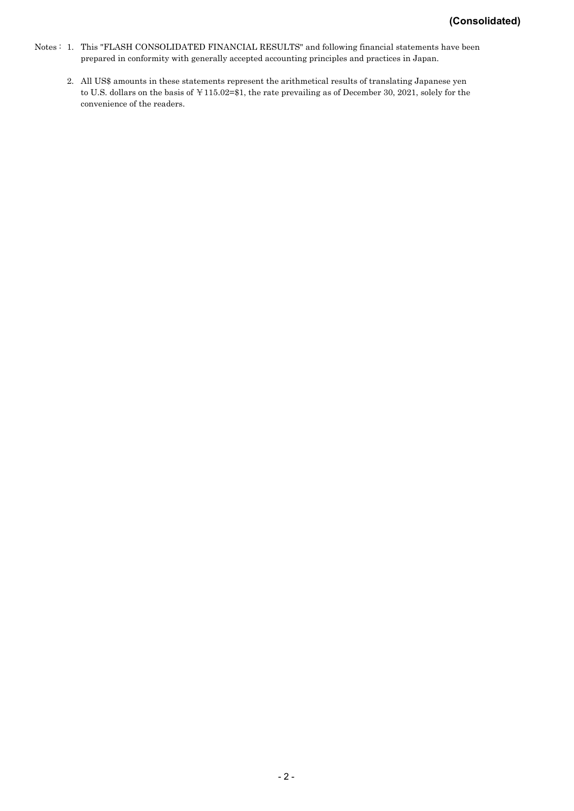- Notes : 1. This "FLASH CONSOLIDATED FINANCIAL RESULTS" and following financial statements have been prepared in conformity with generally accepted accounting principles and practices in Japan.
	- 2. All US\$ amounts in these statements represent the arithmetical results of translating Japanese yen to U.S. dollars on the basis of ¥115.02=\$1, the rate prevailing as of December 30, 2021, solely for the convenience of the readers.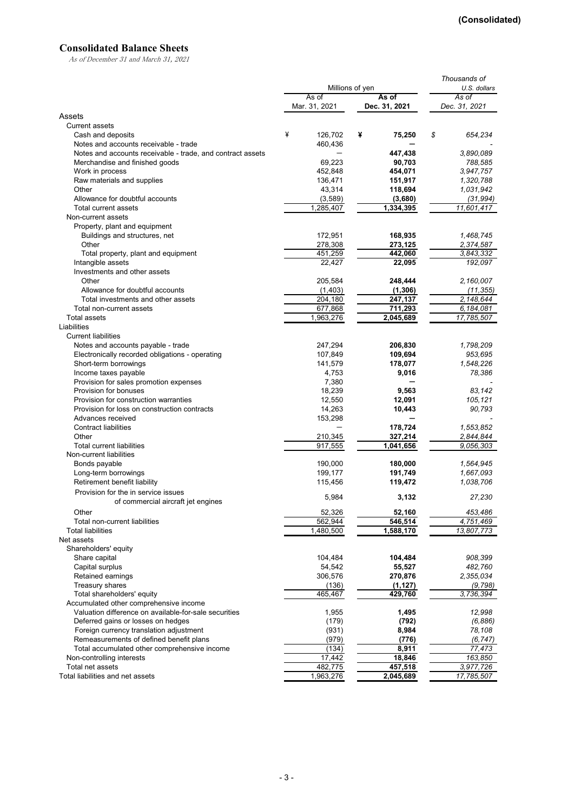#### **Consolidated Balance Sheets**

As of December 31 and March 31, 2021

|                                                            |                        | Thousands of           |                         |
|------------------------------------------------------------|------------------------|------------------------|-------------------------|
|                                                            | Millions of yen        |                        | U.S. dollars            |
|                                                            | As of<br>Mar. 31, 2021 | As of<br>Dec. 31, 2021 | As of<br>Dec. 31, 2021  |
| Assets                                                     |                        |                        |                         |
| <b>Current assets</b>                                      |                        |                        |                         |
| Cash and deposits                                          | ¥<br>126,702           | ¥<br>75,250            | \$<br>654,234           |
| Notes and accounts receivable - trade                      | 460,436                |                        |                         |
| Notes and accounts receivable - trade, and contract assets |                        | 447,438                | 3,890,089               |
| Merchandise and finished goods                             | 69,223                 | 90,703                 | 788,585                 |
| Work in process                                            | 452,848                | 454,071                | 3,947,757               |
| Raw materials and supplies                                 | 136,471                | 151,917                | 1,320,788               |
| Other                                                      | 43,314                 | 118,694                | 1,031,942               |
| Allowance for doubtful accounts                            | (3,589)                | (3,680)                | (31,994)                |
| Total current assets                                       | 1,285,407              | 1,334,395              | $\overline{11,601,417}$ |
| Non-current assets                                         |                        |                        |                         |
| Property, plant and equipment                              |                        |                        |                         |
| Buildings and structures, net                              | 172,951                | 168,935                | 1,468,745               |
| Other                                                      | 278,308                | 273,125                | 2,374,587               |
| Total property, plant and equipment                        | 451,259                | 442,060                | 3.843.332               |
| Intangible assets                                          | 22,427                 | 22,095                 | 192,097                 |
| Investments and other assets                               |                        |                        |                         |
| Other                                                      | 205,584                | 248,444                | 2,160,007               |
| Allowance for doubtful accounts                            | (1,403)                | (1, 306)               | (11, 355)               |
| Total investments and other assets                         | 204,180                | 247,137                | 2,148,644               |
| Total non-current assets                                   | 677,868                | 711,293                | 6,184,081               |
| <b>Total assets</b>                                        | 1,963,276              | 2,045,689              | 17,785,507              |
| Liabilities                                                |                        |                        |                         |
| <b>Current liabilities</b>                                 |                        |                        |                         |
| Notes and accounts payable - trade                         | 247,294                | 206,830                | 1,798,209               |
| Electronically recorded obligations - operating            | 107,849                | 109,694                | 953,695                 |
| Short-term borrowings                                      | 141,579                | 178,077                | 1,548,226               |
| Income taxes payable                                       | 4,753                  | 9,016                  | 78,386                  |
| Provision for sales promotion expenses                     | 7,380                  |                        |                         |
| Provision for bonuses                                      | 18,239                 | 9,563                  | 83,142                  |
| Provision for construction warranties                      | 12,550                 | 12,091                 | 105,121                 |
| Provision for loss on construction contracts               | 14,263                 | 10,443                 | 90,793                  |
| Advances received                                          | 153,298                |                        |                         |
| <b>Contract liabilities</b>                                |                        | 178,724                | 1,553,852               |
| Other                                                      | 210,345                | 327,214                | 2,844,844               |
| <b>Total current liabilities</b>                           | 917,555                | 1,041,656              | 9,056,303               |
| Non-current liabilities                                    |                        |                        |                         |
| Bonds payable                                              | 190,000                | 180,000                | 1,564,945               |
| Long-term borrowings                                       | 199,177                | 191,749                | 1,667,093               |
| Retirement benefit liability                               | 115,456                | 119,472                | 1,038,706               |
| Provision for the in service issues                        | 5,984                  | 3,132                  | 27,230                  |
| of commercial aircraft jet engines                         |                        |                        |                         |
| Other                                                      | 52,326                 | 52,160                 | 453,486                 |
| Total non-current liabilities                              | 562,944                | 546,514                | 4,751,469               |
| <b>Total liabilities</b>                                   | 1,480,500              | 1,588,170              | 13,807,773              |
| Net assets                                                 |                        |                        |                         |
| Shareholders' equity                                       |                        |                        |                         |
| Share capital                                              | 104,484                | 104,484                | 908,399                 |
| Capital surplus                                            | 54,542                 | 55,527                 | 482,760                 |
| Retained earnings                                          | 306,576                | 270,876                | 2,355,034               |
| Treasury shares                                            | (136)                  | (1, 127)               | (9, 798)                |
| Total shareholders' equity                                 | 465,467                | 429,760                | 3,736,394               |
| Accumulated other comprehensive income                     |                        |                        |                         |
| Valuation difference on available-for-sale securities      | 1,955                  | 1,495                  | 12,998                  |
| Deferred gains or losses on hedges                         | (179)                  | (792)                  | (6,886)                 |
| Foreign currency translation adjustment                    | (931)                  | 8,984                  | 78,108                  |
| Remeasurements of defined benefit plans                    | (979)                  | (776)                  | (6, 747)                |
| Total accumulated other comprehensive income               | (134)                  | 8,911                  | 77,473                  |
| Non-controlling interests                                  | 17,442                 | 18,846                 | 163,850                 |
| Total net assets                                           | 482,775                | 457,518                | 3,977,726               |
| Total liabilities and net assets                           | 1,963,276              | 2,045,689              | 17,785,507              |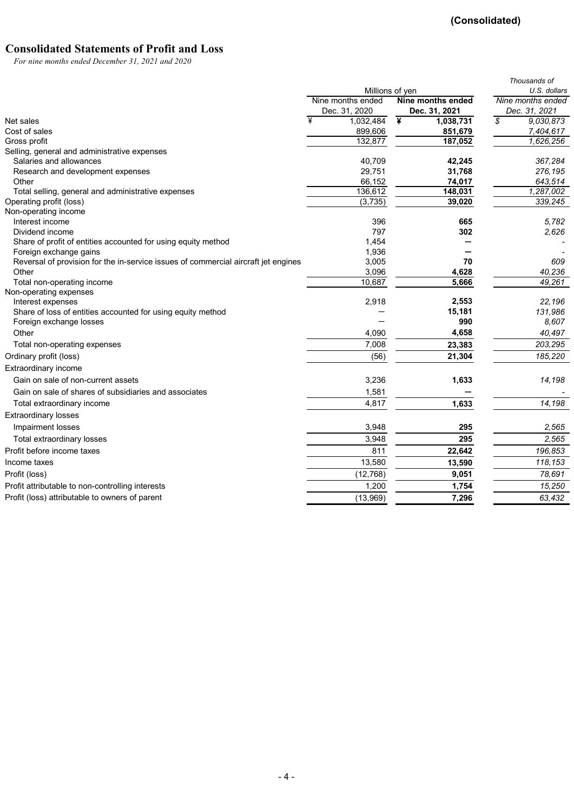### **Consolidated Statements of Profit and Loss**

*For nine months ended December 31, 2021 and 2020*

|                                                                                    |                   |                   | Thousands of      |
|------------------------------------------------------------------------------------|-------------------|-------------------|-------------------|
|                                                                                    |                   | Millions of yen   | U.S. dollars      |
|                                                                                    | Nine months ended | Nine months ended | Nine months ended |
|                                                                                    | Dec. 31, 2020     | Dec. 31, 2021     | Dec. 31, 2021     |
| Net sales                                                                          | ¥<br>1,032,484    | ¥<br>1,038,731    | \$<br>9.030.873   |
| Cost of sales                                                                      | 899,606           | 851,679           | 7,404,617         |
| Gross profit                                                                       | 132,877           | 187,052           | 1,626,256         |
| Selling, general and administrative expenses                                       |                   |                   |                   |
| Salaries and allowances                                                            | 40,709            | 42,245            | 367,284           |
| Research and development expenses                                                  | 29,751            | 31,768            | 276,195           |
| Other                                                                              | 66,152            | 74,017            | 643,514           |
| Total selling, general and administrative expenses                                 | 136,612           | 148,031           | 1,287,002         |
| Operating profit (loss)                                                            | (3,735)           | 39,020            | 339,245           |
| Non-operating income                                                               |                   |                   |                   |
| Interest income<br>Dividend income                                                 | 396<br>797        | 665<br>302        | 5,782<br>2,626    |
| Share of profit of entities accounted for using equity method                      | 1,454             |                   |                   |
| Foreign exchange gains                                                             | 1,936             |                   |                   |
| Reversal of provision for the in-service issues of commercial aircraft jet engines | 3,005             | 70                | 609               |
| Other                                                                              | 3,096             | 4,628             | 40.236            |
| Total non-operating income                                                         | 10,687            | 5,666             | 49.261            |
| Non-operating expenses                                                             |                   |                   |                   |
| Interest expenses                                                                  | 2,918             | 2,553             | 22,196            |
| Share of loss of entities accounted for using equity method                        |                   | 15,181            | 131,986           |
| Foreign exchange losses                                                            |                   | 990               | 8.607             |
| Other                                                                              | 4,090             | 4,658             | 40,497            |
| Total non-operating expenses                                                       | 7,008             | 23,383            | 203,295           |
| Ordinary profit (loss)                                                             | (56)              | 21,304            | 185,220           |
| Extraordinary income                                                               |                   |                   |                   |
| Gain on sale of non-current assets                                                 | 3,236             | 1,633             | 14,198            |
| Gain on sale of shares of subsidiaries and associates                              | 1,581             |                   |                   |
| Total extraordinary income                                                         | 4,817             | 1,633             | 14,198            |
| <b>Extraordinary losses</b>                                                        |                   |                   |                   |
| Impairment losses                                                                  | 3,948             | 295               | 2,565             |
| Total extraordinary losses                                                         | 3,948             | 295               | 2,565             |
| Profit before income taxes                                                         | 811               | 22,642            | 196,853           |
| Income taxes                                                                       | 13,580            | 13,590            | 118,153           |
| Profit (loss)                                                                      | (12, 768)         | 9,051             | 78.691            |
| Profit attributable to non-controlling interests                                   | 1,200             | 1,754             | 15,250            |
| Profit (loss) attributable to owners of parent                                     | (13,969)          | 7,296             | 63,432            |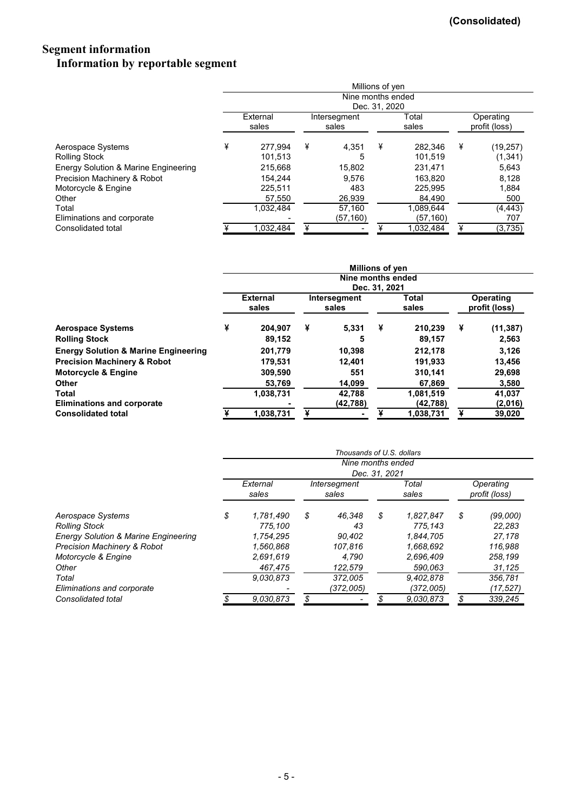### **Segment information Information by reportable segment**

|                                      | Millions of yen                    |           |              |           |       |           |           |               |  |  |  |  |
|--------------------------------------|------------------------------------|-----------|--------------|-----------|-------|-----------|-----------|---------------|--|--|--|--|
|                                      | Nine months ended<br>Dec. 31, 2020 |           |              |           |       |           |           |               |  |  |  |  |
|                                      |                                    |           |              |           |       |           |           |               |  |  |  |  |
|                                      |                                    | External  | Intersegment |           | Total |           | Operating |               |  |  |  |  |
|                                      |                                    | sales     |              | sales     |       | sales     |           | profit (loss) |  |  |  |  |
| Aerospace Systems                    | ¥                                  | 277.994   | ¥            | 4,351     | ¥     | 282.346   | ¥         | (19,257)      |  |  |  |  |
| <b>Rolling Stock</b>                 |                                    | 101,513   |              | 5         |       | 101.519   |           | (1, 341)      |  |  |  |  |
| Energy Solution & Marine Engineering |                                    | 215,668   |              | 15.802    |       | 231,471   |           | 5,643         |  |  |  |  |
| Precision Machinery & Robot          |                                    | 154.244   |              | 9.576     |       | 163.820   |           | 8,128         |  |  |  |  |
| Motorcycle & Engine                  |                                    | 225.511   |              | 483       |       | 225.995   |           | 1,884         |  |  |  |  |
| Other                                |                                    | 57,550    |              | 26,939    |       | 84,490    |           | 500           |  |  |  |  |
| Total                                |                                    | 1.032.484 |              | 57.160    |       | 1.089.644 |           | (4, 443)      |  |  |  |  |
| Eliminations and corporate           |                                    |           |              | (57, 160) |       | (57, 160) |           | 707           |  |  |  |  |
| Consolidated total                   |                                    | 1,032,484 |              |           |       | 1,032,484 |           | (3,735)       |  |  |  |  |

|                                                 | <b>Millions of yen</b>             |           |                       |           |                |           |                            |           |  |  |  |  |
|-------------------------------------------------|------------------------------------|-----------|-----------------------|-----------|----------------|-----------|----------------------------|-----------|--|--|--|--|
|                                                 | Nine months ended<br>Dec. 31, 2021 |           |                       |           |                |           |                            |           |  |  |  |  |
|                                                 | <b>External</b><br>sales           |           | Intersegment<br>sales |           | Total<br>sales |           | Operating<br>profit (loss) |           |  |  |  |  |
| <b>Aerospace Systems</b>                        | ¥                                  | 204,907   | ¥                     | 5,331     | ¥              | 210,239   | ¥                          | (11, 387) |  |  |  |  |
| <b>Rolling Stock</b>                            |                                    | 89.152    |                       | 5         |                | 89,157    |                            | 2,563     |  |  |  |  |
| <b>Energy Solution &amp; Marine Engineering</b> |                                    | 201,779   |                       | 10,398    |                | 212,178   |                            | 3,126     |  |  |  |  |
| <b>Precision Machinery &amp; Robot</b>          |                                    | 179,531   |                       | 12,401    |                | 191,933   |                            | 13,456    |  |  |  |  |
| <b>Motorcycle &amp; Engine</b>                  |                                    | 309,590   |                       | 551       |                | 310,141   |                            | 29,698    |  |  |  |  |
| Other                                           |                                    | 53,769    |                       | 14,099    |                | 67,869    |                            | 3,580     |  |  |  |  |
| Total                                           |                                    | 1,038,731 |                       | 42,788    |                | 1,081,519 |                            | 41,037    |  |  |  |  |
| <b>Eliminations and corporate</b>               |                                    |           |                       | (42, 788) |                | (42, 788) |                            | (2,016)   |  |  |  |  |
| <b>Consolidated total</b>                       |                                    | 1,038,731 |                       |           |                | 1,038,731 |                            | 39,020    |  |  |  |  |

|                                                 | Thousands of U.S. dollars          |           |                       |           |                |           |                            |           |  |  |  |  |
|-------------------------------------------------|------------------------------------|-----------|-----------------------|-----------|----------------|-----------|----------------------------|-----------|--|--|--|--|
|                                                 | Nine months ended<br>Dec. 31, 2021 |           |                       |           |                |           |                            |           |  |  |  |  |
|                                                 | External<br>sales                  |           | Intersegment<br>sales |           | Total<br>sales |           | Operating<br>profit (loss) |           |  |  |  |  |
| Aerospace Systems                               | \$                                 | 1,781,490 | \$                    | 46.348    | \$             | 1,827,847 | \$                         | (99,000)  |  |  |  |  |
| <b>Rolling Stock</b>                            |                                    | 775.100   |                       | 43        |                | 775.143   |                            | 22,283    |  |  |  |  |
| <b>Energy Solution &amp; Marine Engineering</b> |                                    | 1,754,295 |                       | 90.402    |                | 1.844.705 |                            | 27,178    |  |  |  |  |
| <b>Precision Machinery &amp; Robot</b>          |                                    | 1,560,868 |                       | 107.816   |                | 1,668,692 |                            | 116,988   |  |  |  |  |
| Motorcycle & Engine                             |                                    | 2.691.619 |                       | 4.790     |                | 2,696,409 |                            | 258,199   |  |  |  |  |
| Other                                           |                                    | 467,475   |                       | 122,579   |                | 590.063   |                            | 31,125    |  |  |  |  |
| Total                                           |                                    | 9.030.873 |                       | 372.005   |                | 9.402.878 |                            | 356.781   |  |  |  |  |
| Eliminations and corporate                      |                                    |           |                       | (372,005) |                | (372,005) |                            | (17, 527) |  |  |  |  |
| Consolidated total                              |                                    | 9.030.873 |                       |           |                | 9.030.873 |                            | 339,245   |  |  |  |  |